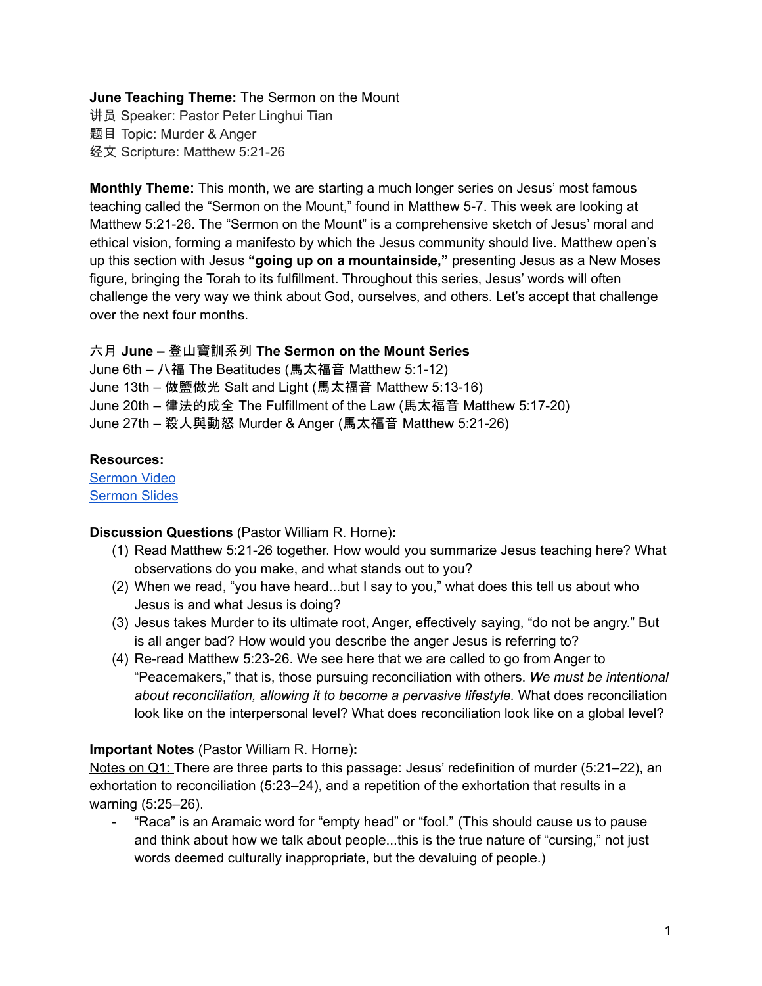## **June Teaching Theme:** The Sermon on the Mount

讲员 Speaker: Pastor Peter Linghui Tian 题目 Topic: Murder & Anger 经文 Scripture: Matthew 5:21-26

**Monthly Theme:** This month, we are starting a much longer series on Jesus' most famous teaching called the "Sermon on the Mount," found in Matthew 5-7. This week are looking at Matthew 5:21-26. The "Sermon on the Mount" is a comprehensive sketch of Jesus' moral and ethical vision, forming a manifesto by which the Jesus community should live. Matthew open's up this section with Jesus **"going up on a mountainside,"** presenting Jesus as a New Moses figure, bringing the Torah to its fulfillment. Throughout this series, Jesus' words will often challenge the very way we think about God, ourselves, and others. Let's accept that challenge over the next four months.

## 六月 **June –** 登山寶訓系列 **The Sermon on the Mount Series**

June 6th – 八福 The Beatitudes (馬太福音 Matthew 5:1-12) June 13th – 做鹽做光 Salt and Light (馬太福音 Matthew 5:13-16) June 20th – 律法的成全 The Fulfillment of the Law (馬太福音 Matthew 5:17-20) June 27th – 殺人與動怒 Murder & Anger (馬太福音 Matthew 5:21-26)

## **Resources:**

[Sermon](https://www.youtube.com/watch?v=-mLbH3BmqQg) Video [Sermon](http://www.lcccky.org/CellGroup/Meetings/%E7%99%BB%E5%B1%B1%E5%AE%9D%E8%AE%AD%EF%BC%9A%E8%AE%BA%E5%8F%91%E6%80%92.pdf) Slides

## **Discussion Questions** (Pastor William R. Horne)**:**

- (1) Read Matthew 5:21-26 together. How would you summarize Jesus teaching here? What observations do you make, and what stands out to you?
- (2) When we read, "you have heard...but I say to you," what does this tell us about who Jesus is and what Jesus is doing?
- (3) Jesus takes Murder to its ultimate root, Anger, effectively saying, "do not be angry." But is all anger bad? How would you describe the anger Jesus is referring to?
- (4) Re-read Matthew 5:23-26. We see here that we are called to go from Anger to "Peacemakers," that is, those pursuing reconciliation with others. *We must be intentional about reconciliation, allowing it to become a pervasive lifestyle.* What does reconciliation look like on the interpersonal level? What does reconciliation look like on a global level?

## **Important Notes** (Pastor William R. Horne)**:**

Notes on Q1: There are three parts to this passage: Jesus' redefinition of murder (5:21–22), an exhortation to reconciliation (5:23–24), and a repetition of the exhortation that results in a warning (5:25–26).

- "Raca" is an Aramaic word for "empty head" or "fool." (This should cause us to pause and think about how we talk about people...this is the true nature of "cursing," not just words deemed culturally inappropriate, but the devaluing of people.)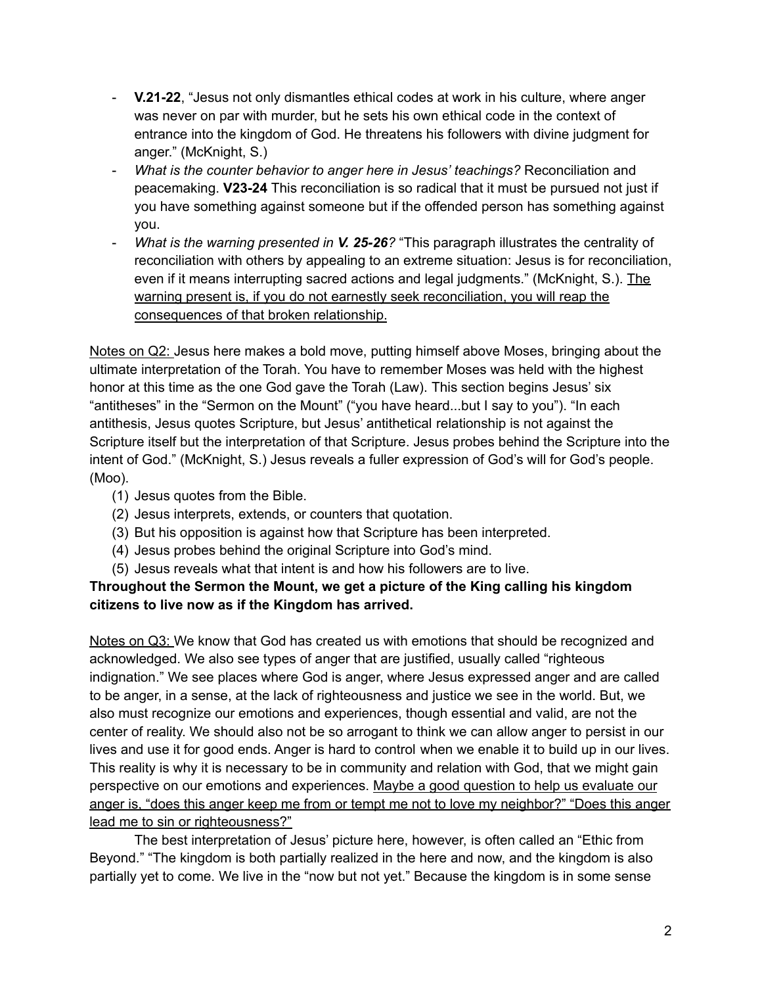- **V.21-22**, "Jesus not only dismantles ethical codes at work in his culture, where anger was never on par with murder, but he sets his own ethical code in the context of entrance into the kingdom of God. He threatens his followers with divine judgment for anger." (McKnight, S.)
- *What is the counter behavior to anger here in Jesus' teachings?* Reconciliation and peacemaking. **V23-24** This reconciliation is so radical that it must be pursued not just if you have something against someone but if the offended person has something against you.
- *What is the warning presented in V. 25-26?* "This paragraph illustrates the centrality of reconciliation with others by appealing to an extreme situation: Jesus is for reconciliation, even if it means interrupting sacred actions and legal judgments." (McKnight, S.). The warning present is, if you do not earnestly seek reconciliation, you will reap the consequences of that broken relationship.

Notes on Q2: Jesus here makes a bold move, putting himself above Moses, bringing about the ultimate interpretation of the Torah. You have to remember Moses was held with the highest honor at this time as the one God gave the Torah (Law). This section begins Jesus' six "antitheses" in the "Sermon on the Mount" ("you have heard...but I say to you"). "In each antithesis, Jesus quotes Scripture, but Jesus' antithetical relationship is not against the Scripture itself but the interpretation of that Scripture. Jesus probes behind the Scripture into the intent of God." (McKnight, S.) Jesus reveals a fuller expression of God's will for God's people. (Moo).

- (1) Jesus quotes from the Bible.
- (2) Jesus interprets, extends, or counters that quotation.
- (3) But his opposition is against how that Scripture has been interpreted.
- (4) Jesus probes behind the original Scripture into God's mind.
- (5) Jesus reveals what that intent is and how his followers are to live.

# **Throughout the Sermon the Mount, we get a picture of the King calling his kingdom citizens to live now as if the Kingdom has arrived.**

Notes on Q3: We know that God has created us with emotions that should be recognized and acknowledged. We also see types of anger that are justified, usually called "righteous indignation." We see places where God is anger, where Jesus expressed anger and are called to be anger, in a sense, at the lack of righteousness and justice we see in the world. But, we also must recognize our emotions and experiences, though essential and valid, are not the center of reality. We should also not be so arrogant to think we can allow anger to persist in our lives and use it for good ends. Anger is hard to control when we enable it to build up in our lives. This reality is why it is necessary to be in community and relation with God, that we might gain perspective on our emotions and experiences. Maybe a good question to help us evaluate our anger is, "does this anger keep me from or tempt me not to love my neighbor?" "Does this anger lead me to sin or righteousness?"

The best interpretation of Jesus' picture here, however, is often called an "Ethic from Beyond." "The kingdom is both partially realized in the here and now, and the kingdom is also partially yet to come. We live in the "now but not yet." Because the kingdom is in some sense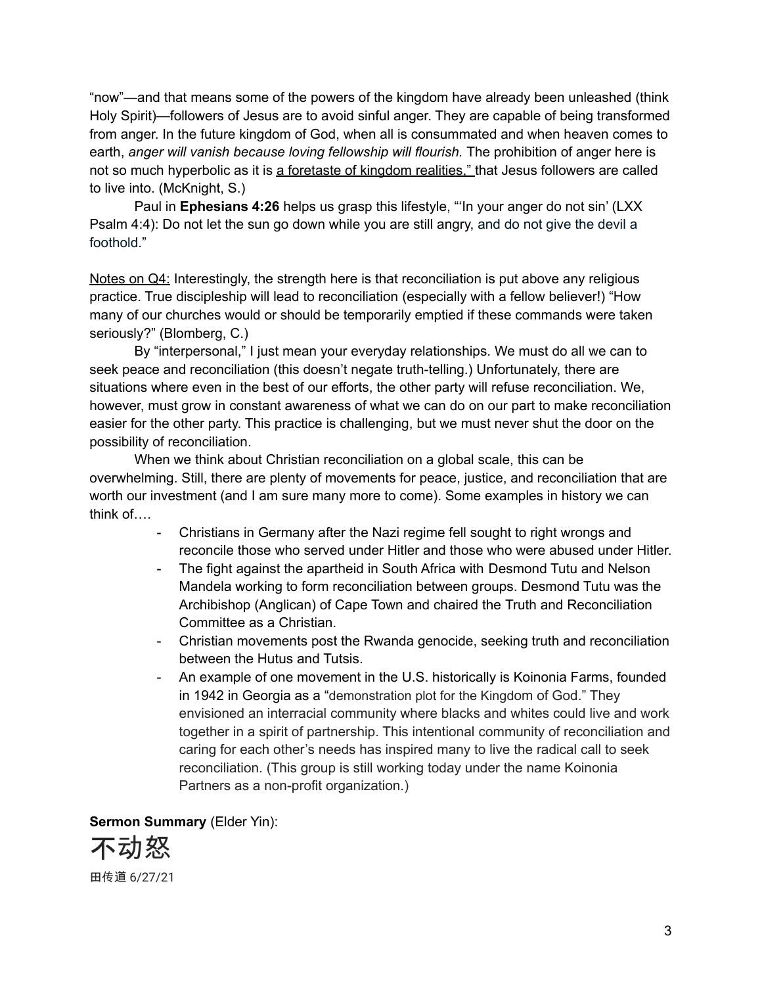"now"—and that means some of the powers of the kingdom have already been unleashed (think Holy Spirit)—followers of Jesus are to avoid sinful anger. They are capable of being transformed from anger. In the future kingdom of God, when all is consummated and when heaven comes to earth, *anger will vanish because loving fellowship will flourish.* The prohibition of anger here is not so much hyperbolic as it is a foretaste of kingdom realities," that Jesus followers are called to live into. (McKnight, S.)

Paul in **Ephesians 4:26** helps us grasp this lifestyle, "'In your anger do not sin' (LXX Psalm 4:4): Do not let the sun go down while you are still angry, and do not give the devil a foothold."

Notes on Q4: Interestingly, the strength here is that reconciliation is put above any religious practice. True discipleship will lead to reconciliation (especially with a fellow believer!) "How many of our churches would or should be temporarily emptied if these commands were taken seriously?" (Blomberg, C.)

By "interpersonal," I just mean your everyday relationships. We must do all we can to seek peace and reconciliation (this doesn't negate truth-telling.) Unfortunately, there are situations where even in the best of our efforts, the other party will refuse reconciliation. We, however, must grow in constant awareness of what we can do on our part to make reconciliation easier for the other party. This practice is challenging, but we must never shut the door on the possibility of reconciliation.

When we think about Christian reconciliation on a global scale, this can be overwhelming. Still, there are plenty of movements for peace, justice, and reconciliation that are worth our investment (and I am sure many more to come). Some examples in history we can think of….

- Christians in Germany after the Nazi regime fell sought to right wrongs and reconcile those who served under Hitler and those who were abused under Hitler.
- The fight against the apartheid in South Africa with Desmond Tutu and Nelson Mandela working to form reconciliation between groups. Desmond Tutu was the Archibishop (Anglican) of Cape Town and chaired the Truth and Reconciliation Committee as a Christian.
- Christian movements post the Rwanda genocide, seeking truth and reconciliation between the Hutus and Tutsis.
- An example of one movement in the U.S. historically is Koinonia Farms, founded in 1942 in Georgia as a "demonstration plot for the Kingdom of God." They envisioned an interracial community where blacks and whites could live and work together in a spirit of partnership. This intentional community of reconciliation and caring for each other's needs has inspired many to live the radical call to seek reconciliation. (This group is still working today under the name Koinonia Partners as a non-profit organization.)

**Sermon Summary** (Elder Yin): 不动怒 田传道 6/27/21